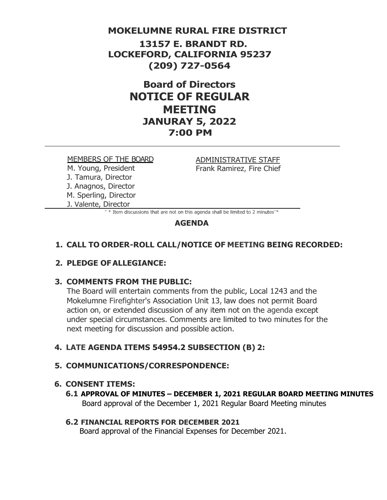### **MOKELUMNE RURAL FIRE DISTRICT**

**13157 E. BRANDT RD. LOCKEFORD, CALIFORNIA 95237 (209) 727-0564**

# **Board of Directors NOTICE OF REGULAR MEETING JANURAY 5, 2022 7:00 PM**

#### MEMBERS OF THE BOARD

M. Young, President J. Tamura, Director J. Anagnos, Director M. Sperling, Director J. Valente, Director

ADMINISTRATIVE STAFF Frank Ramirez, Fire Chief

" \* Item discussions that are not on this agenda shall be limited to 2 minutes"\*

#### **AGENDA**

### **1. CALL TO ORDER-ROLL CALL/NOTICE OF MEETING BEING RECORDED:**

### **2. PLEDGE OFALLEGIANCE:**

### **3. COMMENTS FROM THE PUBLIC:**

The Board will entertain comments from the public, Local 1243 and the Mokelumne Firefighter's Association Unit 13, law does not permit Board action on, or extended discussion of any item not on the agenda except under special circumstances. Comments are limited to two minutes for the next meeting for discussion and possible action.

### **4. LATE AGENDA ITEMS 54954.2 SUBSECTION (B) 2:**

### **5. COMMUNICATIONS/CORRESPONDENCE:**

#### **6. CONSENT ITEMS:**

**6.1 APPROVAL OF MINUTES – DECEMBER 1, 2021 REGULAR BOARD MEETING MINUTES** Board approval of the December 1, 2021 Regular Board Meeting minutes

#### **6.2 FINANCIAL REPORTS FOR DECEMBER 2021**

Board approval of the Financial Expenses for December 2021.